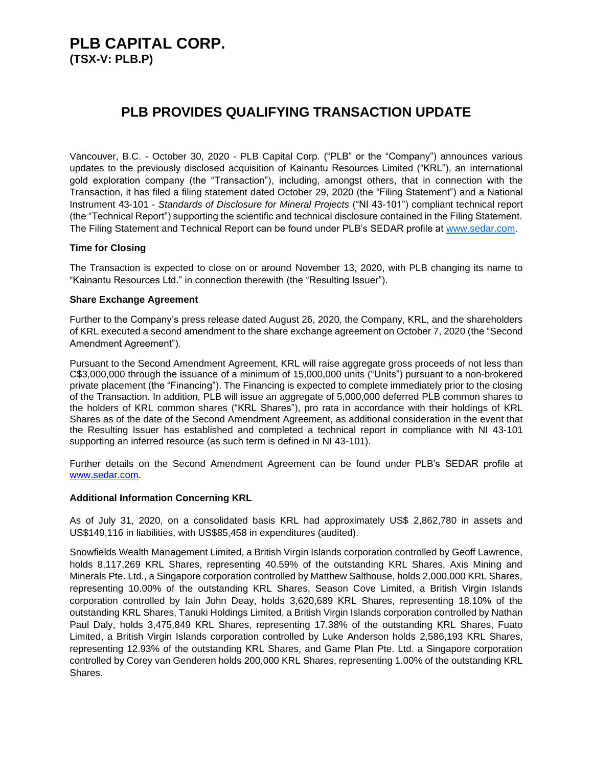## **PLB CAPITAL CORP. (TSX-V: PLB.P)**

## **PLB PROVIDES QUALIFYING TRANSACTION UPDATE**

Vancouver, B.C. - October 30, 2020 - PLB Capital Corp. ("PLB" or the "Company") announces various updates to the previously disclosed acquisition of Kainantu Resources Limited ("KRL"), an international gold exploration company (the "Transaction"), including, amongst others, that in connection with the Transaction, it has filed a filing statement dated October 29, 2020 (the "Filing Statement") and a National Instrument 43-101 - *Standards of Disclosure for Mineral Projects* ("NI 43-101") compliant technical report (the "Technical Report") supporting the scientific and technical disclosure contained in the Filing Statement. The Filing Statement and Technical Report can be found under PLB's SEDAR profile at [www.sedar.com.](http://www.sedar.com/)

### **Time for Closing**

The Transaction is expected to close on or around November 13, 2020, with PLB changing its name to "Kainantu Resources Ltd." in connection therewith (the "Resulting Issuer").

#### **Share Exchange Agreement**

Further to the Company's press release dated August 26, 2020, the Company, KRL, and the shareholders of KRL executed a second amendment to the share exchange agreement on October 7, 2020 (the "Second Amendment Agreement").

Pursuant to the Second Amendment Agreement, KRL will raise aggregate gross proceeds of not less than C\$3,000,000 through the issuance of a minimum of 15,000,000 units ("Units") pursuant to a non-brokered private placement (the "Financing"). The Financing is expected to complete immediately prior to the closing of the Transaction. In addition, PLB will issue an aggregate of 5,000,000 deferred PLB common shares to the holders of KRL common shares ("KRL Shares"), pro rata in accordance with their holdings of KRL Shares as of the date of the Second Amendment Agreement, as additional consideration in the event that the Resulting Issuer has established and completed a technical report in compliance with NI 43-101 supporting an inferred resource (as such term is defined in NI 43-101).

Further details on the Second Amendment Agreement can be found under PLB's SEDAR profile at [www.sedar.com.](http://www.sedar.com/)

#### **Additional Information Concerning KRL**

As of July 31, 2020, on a consolidated basis KRL had approximately US\$ 2,862,780 in assets and US\$149,116 in liabilities, with US\$85,458 in expenditures (audited).

Snowfields Wealth Management Limited, a British Virgin Islands corporation controlled by Geoff Lawrence, holds 8,117,269 KRL Shares, representing 40.59% of the outstanding KRL Shares, Axis Mining and Minerals Pte. Ltd., a Singapore corporation controlled by Matthew Salthouse, holds 2,000,000 KRL Shares, representing 10.00% of the outstanding KRL Shares, Season Cove Limited, a British Virgin Islands corporation controlled by Iain John Deay, holds 3,620,689 KRL Shares, representing 18.10% of the outstanding KRL Shares, Tanuki Holdings Limited, a British Virgin Islands corporation controlled by Nathan Paul Daly, holds 3,475,849 KRL Shares, representing 17.38% of the outstanding KRL Shares, Fuato Limited, a British Virgin Islands corporation controlled by Luke Anderson holds 2,586,193 KRL Shares, representing 12.93% of the outstanding KRL Shares, and Game Plan Pte. Ltd. a Singapore corporation controlled by Corey van Genderen holds 200,000 KRL Shares, representing 1.00% of the outstanding KRL Shares.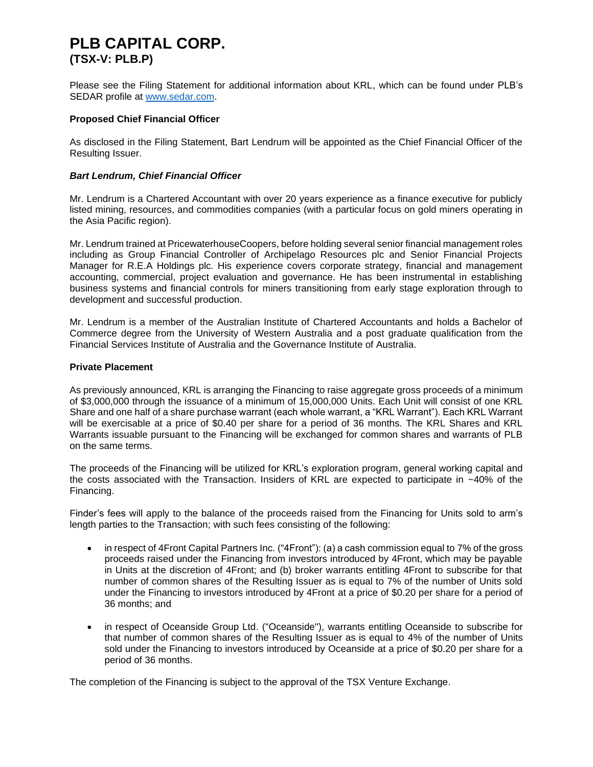# **PLB CAPITAL CORP. (TSX-V: PLB.P)**

Please see the Filing Statement for additional information about KRL, which can be found under PLB's SEDAR profile at [www.sedar.com.](http://www.sedar.com/)

#### **Proposed Chief Financial Officer**

As disclosed in the Filing Statement, Bart Lendrum will be appointed as the Chief Financial Officer of the Resulting Issuer.

#### *Bart Lendrum, Chief Financial Officer*

Mr. Lendrum is a Chartered Accountant with over 20 years experience as a finance executive for publicly listed mining, resources, and commodities companies (with a particular focus on gold miners operating in the Asia Pacific region).

Mr. Lendrum trained at PricewaterhouseCoopers, before holding several senior financial management roles including as Group Financial Controller of Archipelago Resources plc and Senior Financial Projects Manager for R.E.A Holdings plc. His experience covers corporate strategy, financial and management accounting, commercial, project evaluation and governance. He has been instrumental in establishing business systems and financial controls for miners transitioning from early stage exploration through to development and successful production.

Mr. Lendrum is a member of the Australian Institute of Chartered Accountants and holds a Bachelor of Commerce degree from the University of Western Australia and a post graduate qualification from the Financial Services Institute of Australia and the Governance Institute of Australia.

#### **Private Placement**

As previously announced, KRL is arranging the Financing to raise aggregate gross proceeds of a minimum of \$3,000,000 through the issuance of a minimum of 15,000,000 Units. Each Unit will consist of one KRL Share and one half of a share purchase warrant (each whole warrant, a "KRL Warrant"). Each KRL Warrant will be exercisable at a price of \$0.40 per share for a period of 36 months. The KRL Shares and KRL Warrants issuable pursuant to the Financing will be exchanged for common shares and warrants of PLB on the same terms.

The proceeds of the Financing will be utilized for KRL's exploration program, general working capital and the costs associated with the Transaction. Insiders of KRL are expected to participate in ~40% of the Financing.

Finder's fees will apply to the balance of the proceeds raised from the Financing for Units sold to arm's length parties to the Transaction; with such fees consisting of the following:

- in respect of 4Front Capital Partners Inc. ("4Front"): (a) a cash commission equal to 7% of the gross proceeds raised under the Financing from investors introduced by 4Front, which may be payable in Units at the discretion of 4Front; and (b) broker warrants entitling 4Front to subscribe for that number of common shares of the Resulting Issuer as is equal to 7% of the number of Units sold under the Financing to investors introduced by 4Front at a price of \$0.20 per share for a period of 36 months; and
- in respect of Oceanside Group Ltd. ("Oceanside"), warrants entitling Oceanside to subscribe for that number of common shares of the Resulting Issuer as is equal to 4% of the number of Units sold under the Financing to investors introduced by Oceanside at a price of \$0.20 per share for a period of 36 months.

The completion of the Financing is subject to the approval of the TSX Venture Exchange.